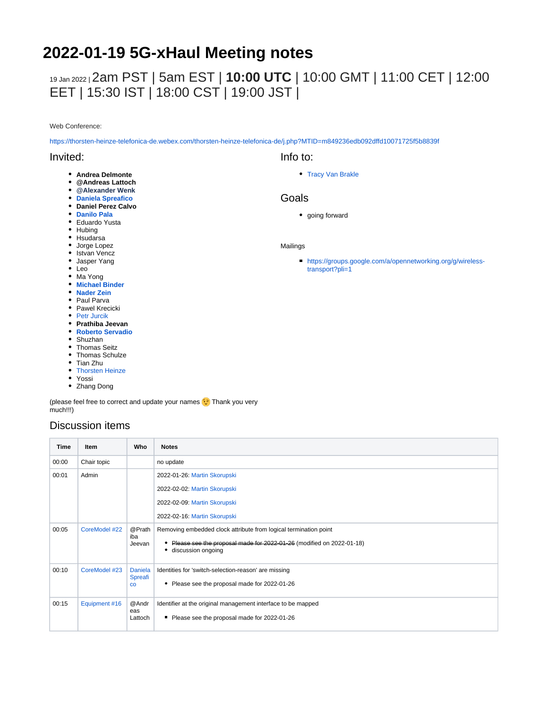# **2022-01-19 5G-xHaul Meeting notes**

## 19 Jan 2022 <sup>|</sup>2am PST | 5am EST | **10:00 UTC** | 10:00 GMT | 11:00 CET | 12:00 EET | 15:30 IST | 18:00 CST | 19:00 JST |

Web Conference:

<https://thorsten-heinze-telefonica-de.webex.com/thorsten-heinze-telefonica-de/j.php?MTID=m849236edb092dffd10071725f5b8839f>

#### Invited:

- **Andrea Delmonte**
- **@Andreas Lattoch**
- **@Alexander Wenk**
- **[Daniela Spreafico](https://wiki.opennetworking.org/display/~spreafico.daniela)**
- **Daniel Perez Calvo**
- **[Danilo Pala](https://wiki.opennetworking.org/display/~danilo.pala)**
- Eduardo Yusta
- Hubing
- Hsudarsa
- Jorge Lopez
- Istvan Vencz
- Jasper Yang
- Leo
- Ma Yong
- **[Michael Binder](https://wiki.opennetworking.org/display/~michael.binder)**
- **[Nader Zein](https://wiki.opennetworking.org/display/~nader.zein)**
- Paul Parva
- Pawel Krecicki • [Petr Jurcik](https://wiki.opennetworking.org/display/~petr.jurcik)
- **Prathiba Jeevan**
- **[Roberto Servadio](https://wiki.opennetworking.org/display/~roberto.servadio)**
- Shuzhan
- Thomas Seitz
- Thomas Schulze
- Tian Zhu
- [Thorsten Heinze](https://wiki.opennetworking.org/display/~thorsten.heinze)
- Yossi
- Zhang Dong

(please feel free to correct and update your names **Thank you very** much!!!)

### Discussion items

| Time  | Item          | Who                                      | <b>Notes</b>                                                                                                                                                        |
|-------|---------------|------------------------------------------|---------------------------------------------------------------------------------------------------------------------------------------------------------------------|
| 00:00 | Chair topic   |                                          | no update                                                                                                                                                           |
| 00:01 | Admin         |                                          | 2022-01-26: Martin Skorupski                                                                                                                                        |
|       |               |                                          | 2022-02-02: Martin Skorupski                                                                                                                                        |
|       |               |                                          | 2022-02-09: Martin Skorupski                                                                                                                                        |
|       |               |                                          | 2022-02-16: Martin Skorupski                                                                                                                                        |
| 00:05 | CoreModel #22 | @Prath<br>iba<br>Jeevan                  | Removing embedded clock attribute from logical termination point<br>Please see the proposal made for 2022-01-26 (modified on 2022-01-18)<br>discussion ongoing<br>٠ |
| 00:10 | CoreModel #23 | <b>Daniela</b><br>Spreafi<br>$_{\rm CO}$ | Identities for 'switch-selection-reason' are missing<br>Please see the proposal made for 2022-01-26<br>٠                                                            |
| 00:15 | Equipment #16 | @Andr<br>eas<br>Lattoch                  | Identifier at the original management interface to be mapped<br>Please see the proposal made for 2022-01-26                                                         |

Info to: • [Tracy Van Brakle](https://wiki.opennetworking.org/display/~tracyvb)

#### Goals

• going forward

#### Mailings

[https://groups.google.com/a/opennetworking.org/g/wireless](https://groups.google.com/a/opennetworking.org/g/wireless-transport?pli=1)[transport?pli=1](https://groups.google.com/a/opennetworking.org/g/wireless-transport?pli=1)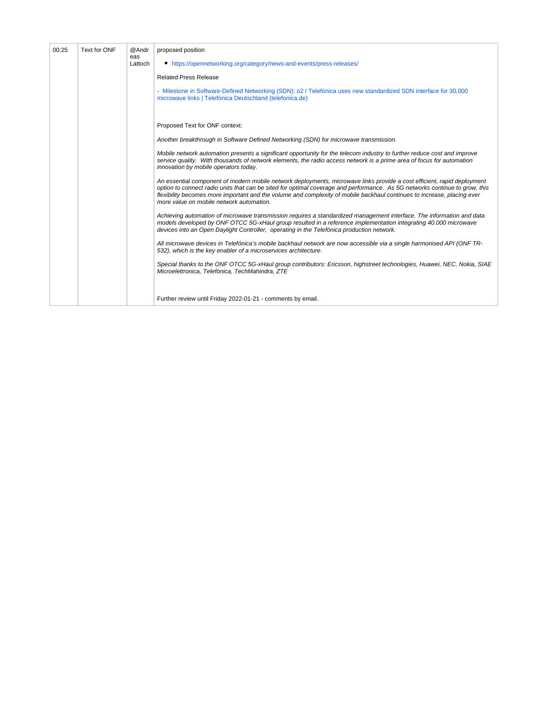| 00:25 | Text for ONF | @Andr<br>eas<br>Lattoch | proposed position                                                                                                                                                                                                                                                                                                                                                                                                             |
|-------|--------------|-------------------------|-------------------------------------------------------------------------------------------------------------------------------------------------------------------------------------------------------------------------------------------------------------------------------------------------------------------------------------------------------------------------------------------------------------------------------|
|       |              |                         | ■ https://opennetworking.org/category/news-and-events/press-releases/                                                                                                                                                                                                                                                                                                                                                         |
|       |              |                         | <b>Related Press Release</b>                                                                                                                                                                                                                                                                                                                                                                                                  |
|       |              |                         | - Milestone in Software-Defined Networking (SDN): o2 / Telefónica uses new standardized SDN interface for 30,000<br>microwave links   Telefónica Deutschland (telefonica.de)                                                                                                                                                                                                                                                  |
|       |              |                         | Proposed Text for ONF context:                                                                                                                                                                                                                                                                                                                                                                                                |
|       |              |                         | Another breakthrough in Software Defined Networking (SDN) for microwave transmission.                                                                                                                                                                                                                                                                                                                                         |
|       |              |                         | Mobile network automation presents a significant opportunity for the telecom industry to further reduce cost and improve<br>service quality. With thousands of network elements, the radio access network is a prime area of focus for automation<br>innovation by mobile operators today.                                                                                                                                    |
|       |              |                         | An essential component of modern mobile network deployments, microwave links provide a cost efficient, rapid deployment<br>option to connect radio units that can be sited for optimal coverage and performance. As 5G networks continue to grow, this<br>flexibility becomes more important and the volume and complexity of mobile backhaul continues to increase, placing ever<br>more value on mobile network automation. |
|       |              |                         | Achieving automation of microwave transmission requires a standardized management interface. The information and data<br>models developed by ONF OTCC 5G-xHaul group resulted in a reference implementation integrating 40.000 microwave<br>devices into an Open Daylight Controller, operating in the Telefónica production network.                                                                                         |
|       |              |                         | All microwave devices in Telefónica's mobile backhaul network are now accessible via a single harmonised API (ONF TR-<br>532), which is the key enabler of a microservices architecture.                                                                                                                                                                                                                                      |
|       |              |                         | Special thanks to the ONF OTCC 5G-xHaul group contributors: Ericsson, highstreet technologies, Huawei, NEC, Nokia, SIAE<br>Microelettronica, Telefónica, TechMahindra, ZTE                                                                                                                                                                                                                                                    |
|       |              |                         |                                                                                                                                                                                                                                                                                                                                                                                                                               |
|       |              |                         | Further review until Friday 2022-01-21 - comments by email.                                                                                                                                                                                                                                                                                                                                                                   |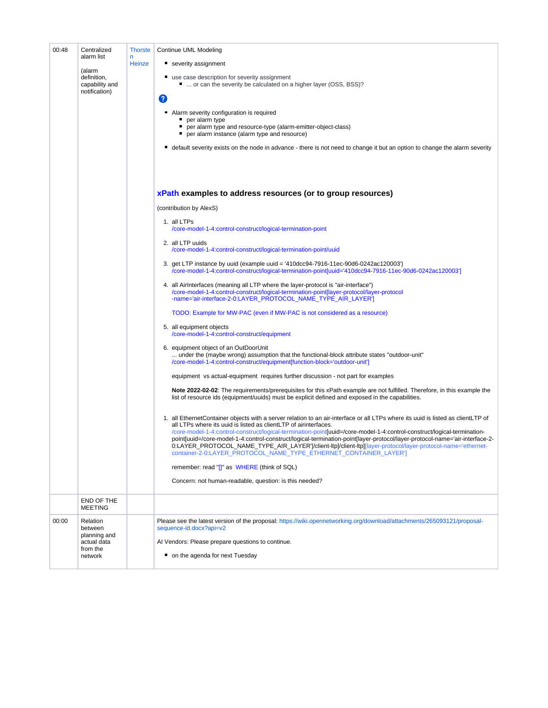| 00:48 | Centralized<br>alarm list                                                 | <b>Thorste</b><br>n | Continue UML Modeling                                                                                                                                                                                                                                                                                                                                                                                                                                                                                                                                                                                                                               |
|-------|---------------------------------------------------------------------------|---------------------|-----------------------------------------------------------------------------------------------------------------------------------------------------------------------------------------------------------------------------------------------------------------------------------------------------------------------------------------------------------------------------------------------------------------------------------------------------------------------------------------------------------------------------------------------------------------------------------------------------------------------------------------------------|
|       | (alarm                                                                    | Heinze              | severity assignment                                                                                                                                                                                                                                                                                                                                                                                                                                                                                                                                                                                                                                 |
|       | definition,<br>capability and<br>notification)                            |                     | use case description for severity assignment<br>"  or can the severity be calculated on a higher layer (OSS, BSS)?                                                                                                                                                                                                                                                                                                                                                                                                                                                                                                                                  |
|       |                                                                           |                     | 2                                                                                                                                                                                                                                                                                                                                                                                                                                                                                                                                                                                                                                                   |
|       |                                                                           |                     | Alarm severity configuration is required<br>per alarm type                                                                                                                                                                                                                                                                                                                                                                                                                                                                                                                                                                                          |
|       |                                                                           |                     | per alarm type and resource-type (alarm-emitter-object-class)<br>per alarm instance (alarm type and resource)                                                                                                                                                                                                                                                                                                                                                                                                                                                                                                                                       |
|       |                                                                           |                     | default severity exists on the node in advance - there is not need to change it but an option to change the alarm severity<br>ш                                                                                                                                                                                                                                                                                                                                                                                                                                                                                                                     |
|       |                                                                           |                     |                                                                                                                                                                                                                                                                                                                                                                                                                                                                                                                                                                                                                                                     |
|       |                                                                           |                     | xPath examples to address resources (or to group resources)                                                                                                                                                                                                                                                                                                                                                                                                                                                                                                                                                                                         |
|       |                                                                           |                     | (contribution by AlexS)                                                                                                                                                                                                                                                                                                                                                                                                                                                                                                                                                                                                                             |
|       |                                                                           |                     | 1. all LTPs<br>/core-model-1-4:control-construct/logical-termination-point                                                                                                                                                                                                                                                                                                                                                                                                                                                                                                                                                                          |
|       |                                                                           |                     | 2. all LTP uuids<br>/core-model-1-4:control-construct/logical-termination-point/uuid                                                                                                                                                                                                                                                                                                                                                                                                                                                                                                                                                                |
|       |                                                                           |                     | 3. get LTP instance by uuid (example uuid = '410dcc94-7916-11ec-90d6-0242ac120003')<br>/core-model-1-4:control-construct/logical-termination-point[uuid='410dcc94-7916-11ec-90d6-0242ac120003']                                                                                                                                                                                                                                                                                                                                                                                                                                                     |
|       |                                                                           |                     | 4. all Airlnterfaces (meaning all LTP where the layer-protocol is "air-interface")<br>/core-model-1-4:control-construct/logical-termination-point[layer-protocol/layer-protocol<br>-name='air-interface-2-0:LAYER_PROTOCOL_NAME_TYPE_AIR_LAYER']                                                                                                                                                                                                                                                                                                                                                                                                    |
|       |                                                                           |                     | TODO: Example for MW-PAC (even if MW-PAC is not considered as a resource)                                                                                                                                                                                                                                                                                                                                                                                                                                                                                                                                                                           |
|       |                                                                           |                     | 5. all equipment objects<br>/core-model-1-4:control-construct/equipment                                                                                                                                                                                                                                                                                                                                                                                                                                                                                                                                                                             |
|       |                                                                           |                     | 6. equipment object of an OutDoorUnit<br>under the (maybe wrong) assumption that the functional-block attribute states "outdoor-unit"<br>/core-model-1-4:control-construct/equipment[function-block='outdoor-unit']                                                                                                                                                                                                                                                                                                                                                                                                                                 |
|       |                                                                           |                     | equipment vs actual-equipment requires further discussion - not part for examples                                                                                                                                                                                                                                                                                                                                                                                                                                                                                                                                                                   |
|       |                                                                           |                     | Note 2022-02-02: The requirements/prerequisites for this xPath example are not fulfilled. Therefore, in this example the<br>list of resource ids (equipment/uuids) must be explicit defined and exposed in the capabilities.                                                                                                                                                                                                                                                                                                                                                                                                                        |
|       |                                                                           |                     | 1. all EthernetContainer objects with a server relation to an air-interface or all LTPs where its uuid is listed as clientLTP of<br>all LTPs where its uuid is listed as clientLTP of airinterfaces.<br>/core-model-1-4:control-construct/logical-termination-point[uuid=/core-model-1-4:control-construct/logical-termination-<br>point[uuid=/core-model-1-4:control-construct/logical-termination-point[layer-protocol/layer-protocol-name='air-interface-2-<br>0:LAYER_PROTOCOL_NAME_TYPE_AIR_LAYER' /client-ltp]/client-ltp][layer-protocol/layer-protocol-name='ethernet-<br>container-2-0:LAYER PROTOCOL NAME TYPE ETHERNET CONTAINER LAYER'] |
|       |                                                                           |                     | remember: read "[]" as WHERE (think of SQL)                                                                                                                                                                                                                                                                                                                                                                                                                                                                                                                                                                                                         |
|       |                                                                           |                     | Concern: not human-readable, question: is this needed?                                                                                                                                                                                                                                                                                                                                                                                                                                                                                                                                                                                              |
|       | END OF THE<br><b>MEETING</b>                                              |                     |                                                                                                                                                                                                                                                                                                                                                                                                                                                                                                                                                                                                                                                     |
| 00:00 | Relation<br>between<br>planning and<br>actual data<br>from the<br>network |                     | Please see the latest version of the proposal: https://wiki.opennetworking.org/download/attachments/265093121/proposal-<br>sequence-id.docx?api=v2                                                                                                                                                                                                                                                                                                                                                                                                                                                                                                  |
|       |                                                                           |                     | Al Vendors: Please prepare questions to continue.                                                                                                                                                                                                                                                                                                                                                                                                                                                                                                                                                                                                   |
|       |                                                                           |                     | • on the agenda for next Tuesday                                                                                                                                                                                                                                                                                                                                                                                                                                                                                                                                                                                                                    |